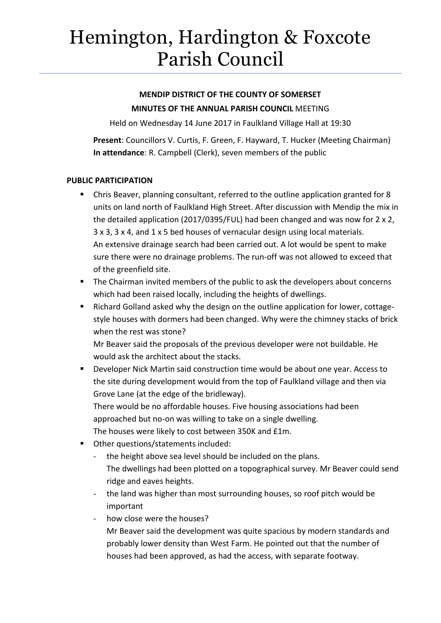# Hemington, Hardington & Foxcote Parish Council

# **MENDIP DISTRICT OF THE COUNTY OF SOMERSET MINUTES OF THE ANNUAL PARISH COUNCIL** MEETING

Held on Wednesday 14 June 2017 in Faulkland Village Hall at 19:30

**Present**: Councillors V. Curtis, F. Green, F. Hayward, T. Hucker (Meeting Chairman) **In attendance**: R. Campbell (Clerk), seven members of the public

## **PUBLIC PARTICIPATION**

- Chris Beaver, planning consultant, referred to the outline application granted for 8 units on land north of Faulkland High Street. After discussion with Mendip the mix in the detailed application (2017/0395/FUL) had been changed and was now for 2 x 2, 3 x 3, 3 x 4, and 1 x 5 bed houses of vernacular design using local materials. An extensive drainage search had been carried out. A lot would be spent to make sure there were no drainage problems. The run-off was not allowed to exceed that of the greenfield site.
- **The Chairman invited members of the public to ask the developers about concerns** which had been raised locally, including the heights of dwellings.
- Richard Golland asked why the design on the outline application for lower, cottagestyle houses with dormers had been changed. Why were the chimney stacks of brick when the rest was stone?

Mr Beaver said the proposals of the previous developer were not buildable. He would ask the architect about the stacks.

 Developer Nick Martin said construction time would be about one year. Access to the site during development would from the top of Faulkland village and then via Grove Lane (at the edge of the bridleway). There would be no affordable houses. Five housing associations had been approached but no-on was willing to take on a single dwelling.

The houses were likely to cost between 350K and £1m.

- Other questions/statements included:
	- the height above sea level should be included on the plans. The dwellings had been plotted on a topographical survey. Mr Beaver could send ridge and eaves heights.
	- the land was higher than most surrounding houses, so roof pitch would be important
	- how close were the houses?

Mr Beaver said the development was quite spacious by modern standards and probably lower density than West Farm. He pointed out that the number of houses had been approved, as had the access, with separate footway.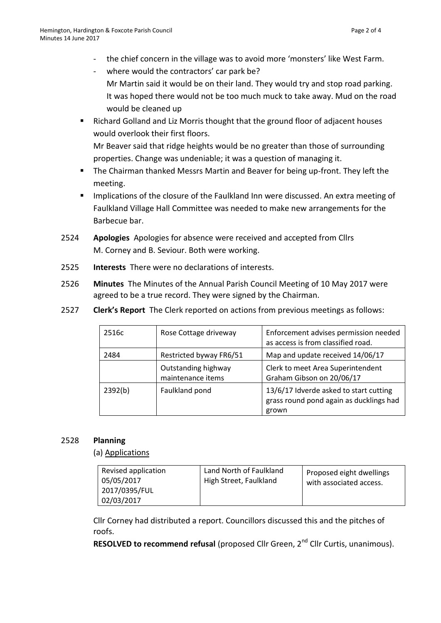- the chief concern in the village was to avoid more 'monsters' like West Farm.
- where would the contractors' car park be? Mr Martin said it would be on their land. They would try and stop road parking. It was hoped there would not be too much muck to take away. Mud on the road would be cleaned up
- Richard Golland and Liz Morris thought that the ground floor of adjacent houses would overlook their first floors.

Mr Beaver said that ridge heights would be no greater than those of surrounding properties. Change was undeniable; it was a question of managing it.

- The Chairman thanked Messrs Martin and Beaver for being up-front. They left the meeting.
- **IMPLE 11 Implications of the closure of the Faulkland Inn were discussed. An extra meeting of** Faulkland Village Hall Committee was needed to make new arrangements for the Barbecue bar.
- 2524 **Apologies** Apologies for absence were received and accepted from Cllrs M. Corney and B. Seviour. Both were working.
- 2525 **Interests** There were no declarations of interests.
- 2526 **Minutes** The Minutes of the Annual Parish Council Meeting of 10 May 2017 were agreed to be a true record. They were signed by the Chairman.
- 2527 **Clerk's Report** The Clerk reported on actions from previous meetings as follows:

| 2516c   | Rose Cottage driveway                    | Enforcement advises permission needed<br>as access is from classified road.                |
|---------|------------------------------------------|--------------------------------------------------------------------------------------------|
| 2484    | Restricted byway FR6/51                  | Map and update received 14/06/17                                                           |
|         | Outstanding highway<br>maintenance items | Clerk to meet Area Superintendent<br>Graham Gibson on 20/06/17                             |
| 2392(b) | Faulkland pond                           | 13/6/17 Idverde asked to start cutting<br>grass round pond again as ducklings had<br>grown |

#### 2528 **Planning**

(a) Applications

| Revised application<br>05/05/2017<br>2017/0395/FUL<br>02/03/2017 | Land North of Faulkland<br>High Street, Faulkland | Proposed eight dwellings<br>with associated access. |
|------------------------------------------------------------------|---------------------------------------------------|-----------------------------------------------------|
|------------------------------------------------------------------|---------------------------------------------------|-----------------------------------------------------|

Cllr Corney had distributed a report. Councillors discussed this and the pitches of roofs.

**RESOLVED to recommend refusal** (proposed Cllr Green, 2<sup>nd</sup> Cllr Curtis, unanimous).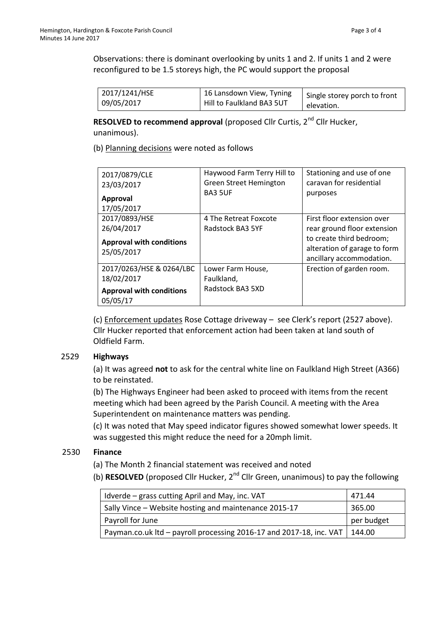Observations: there is dominant overlooking by units 1 and 2. If units 1 and 2 were reconfigured to be 1.5 storeys high, the PC would support the proposal

| 2017/1241/HSE | 16 Lansdown View, Tyning  | Single storey porch to front |
|---------------|---------------------------|------------------------------|
| 109/05/2017   | Hill to Faulkland BA3 5UT | elevation.                   |
|               |                           |                              |

**RESOLVED to recommend approval (proposed Cllr Curtis, 2<sup>nd</sup> Cllr Hucker,** unanimous).

(b) Planning decisions were noted as follows

| 2017/0879/CLE<br>23/03/2017<br><b>Approval</b><br>17/05/2017                          | Haywood Farm Terry Hill to<br>Green Street Hemington<br><b>BA3 5UF</b> | Stationing and use of one<br>caravan for residential<br>purposes                                                                                  |
|---------------------------------------------------------------------------------------|------------------------------------------------------------------------|---------------------------------------------------------------------------------------------------------------------------------------------------|
| 2017/0893/HSE<br>26/04/2017<br><b>Approval with conditions</b><br>25/05/2017          | 4 The Retreat Foxcote<br>Radstock BA3 5YF                              | First floor extension over<br>rear ground floor extension<br>to create third bedroom;<br>alteration of garage to form<br>ancillary accommodation. |
| 2017/0263/HSE & 0264/LBC<br>18/02/2017<br><b>Approval with conditions</b><br>05/05/17 | Lower Farm House,<br>Faulkland,<br>Radstock BA3 5XD                    | Erection of garden room.                                                                                                                          |

(c) Enforcement updates Rose Cottage driveway – see Clerk's report (2527 above). Cllr Hucker reported that enforcement action had been taken at land south of Oldfield Farm.

#### 2529 **Highways**

(a) It was agreed **not** to ask for the central white line on Faulkland High Street (A366) to be reinstated.

(b) The Highways Engineer had been asked to proceed with items from the recent meeting which had been agreed by the Parish Council. A meeting with the Area Superintendent on maintenance matters was pending.

(c) It was noted that May speed indicator figures showed somewhat lower speeds. It was suggested this might reduce the need for a 20mph limit.

## 2530 **Finance**

(a) The Month 2 financial statement was received and noted

(b) **RESOLVED** (proposed Cllr Hucker, 2nd Cllr Green, unanimous) to pay the following

| I Idverde – grass cutting April and May, inc. VAT                            | 471.44     |
|------------------------------------------------------------------------------|------------|
| Sally Vince – Website hosting and maintenance 2015-17                        | 365.00     |
| Payroll for June                                                             | per budget |
| Payman.co.uk Itd – payroll processing 2016-17 and 2017-18, inc. VAT   144.00 |            |